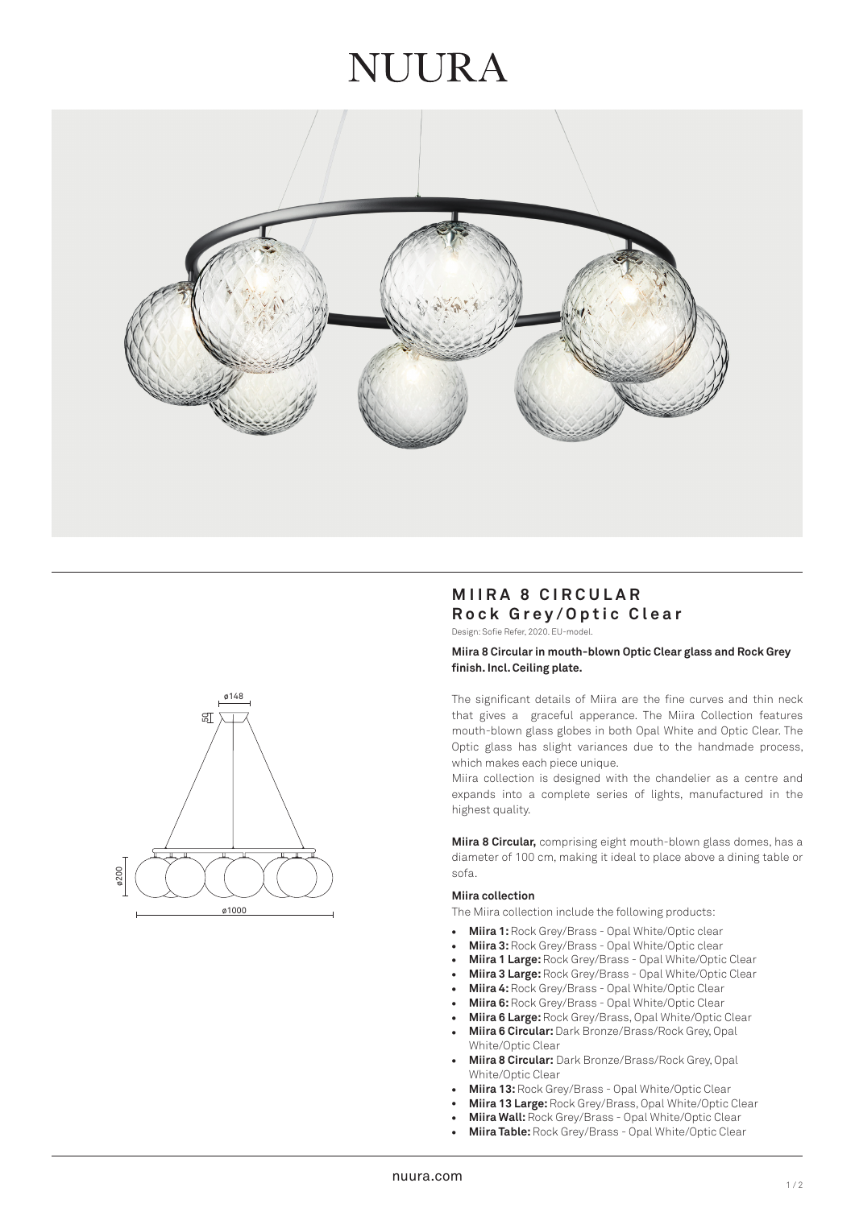# NUIRA





# **MIIRA 8 CIRCULAR Rock Grey/Optic Clear**

Design: Sofie Refer, 2020. EU-model.

## **Miira 8 Circular in mouth-blown Optic Clear glass and Rock Grey finish. Incl. Ceiling plate.**

The significant details of Miira are the fine curves and thin neck that gives a graceful apperance. The Miira Collection features mouth-blown glass globes in both Opal White and Optic Clear. The Optic glass has slight variances due to the handmade process, which makes each piece unique.

Miira collection is designed with the chandelier as a centre and expands into a complete series of lights, manufactured in the highest quality.

**Miira 8 Circular,** comprising eight mouth-blown glass domes, has a diameter of 100 cm, making it ideal to place above a dining table or sofa.

#### **Miira collection**

The Miira collection include the following products:

- **Miira 1:** Rock Grey/Brass Opal White/Optic clear
- **Miira 3:** Rock Grey/Brass Opal White/Optic clear
- **Miira 1 Large:** Rock Grey/Brass Opal White/Optic Clear
- **Miira 3 Large:** Rock Grey/Brass Opal White/Optic Clear
- **Miira 4:** Rock Grey/Brass Opal White/Optic Clear
- **Miira 6:** Rock Grey/Brass Opal White/Optic Clear
- **Miira 6 Large:** Rock Grey/Brass, Opal White/Optic Clear
- **Miira 6 Circular:** Dark Bronze/Brass/Rock Grey, Opal White/Optic Clear •••••••••••••
- **Miira 8 Circular:** Dark Bronze/Brass/Rock Grey, Opal White/Optic Clear
- **Miira 13:** Rock Grey/Brass Opal White/Optic Clear
- **Miira 13 Large:** Rock Grey/Brass, Opal White/Optic Clear
- **Miira Wall:** Rock Grey/Brass Opal White/Optic Clear
- **Miira Table:** Rock Grey/Brass Opal White/Optic Clear